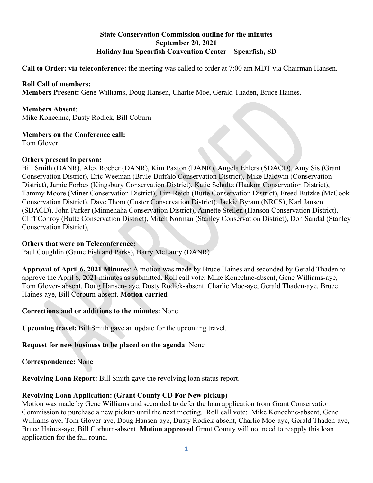### **State Conservation Commission outline for the minutes September 20, 2021 Holiday Inn Spearfish Convention Center – Spearfish, SD**

**Call to Order: via teleconference:** the meeting was called to order at 7:00 am MDT via Chairman Hansen.

### **Roll Call of members:**

**Members Present:** Gene Williams, Doug Hansen, Charlie Moe, Gerald Thaden, Bruce Haines.

#### **Members Absent**:

Mike Konechne, Dusty Rodiek, Bill Coburn

## **Members on the Conference call:**

Tom Glover

### **Others present in person:**

Bill Smith (DANR), Alex Roeber (DANR), Kim Paxton (DANR), Angela Ehlers (SDACD), Amy Sis (Grant Conservation District), Eric Weeman (Brule-Buffalo Conservation District), Mike Baldwin (Conservation District), Jamie Forbes (Kingsbury Conservation District), Katie Schultz (Haakon Conservation District), Tammy Moore (Miner Conservation District), Tim Reich (Butte Conservation District), Freed Butzke (McCook Conservation District), Dave Thom (Custer Conservation District), Jackie Byram (NRCS), Karl Jansen (SDACD), John Parker (Minnehaha Conservation District), Annette Steilen (Hanson Conservation District), Cliff Conroy (Butte Conservation District), Mitch Norman (Stanley Conservation District), Don Sandal (Stanley Conservation District),

### **Others that were on Teleconference:**

Paul Coughlin (Game Fish and Parks), Barry McLaury (DANR)

**Approval of April 6, 2021 Minutes**: A motion was made by Bruce Haines and seconded by Gerald Thaden to approve the April 6, 2021 minutes as submitted. Roll call vote: Mike Konechne-absent, Gene Williams-aye, Tom Glover- absent, Doug Hansen- aye, Dusty Rodiek-absent, Charlie Moe-aye, Gerald Thaden-aye, Bruce Haines-aye, Bill Corburn-absent. **Motion carried**

# **Corrections and or additions to the minutes:** None

**Upcoming travel:** Bill Smith gave an update for the upcoming travel.

# **Request for new business to be placed on the agenda**: None

**Correspondence:** None

**Revolving Loan Report:** Bill Smith gave the revolving loan status report.

### **Revolving Loan Application: (Grant County CD For New pickup)**

Motion was made by Gene Williams and seconded to defer the loan application from Grant Conservation Commission to purchase a new pickup until the next meeting. Roll call vote: Mike Konechne-absent, Gene Williams-aye, Tom Glover-aye, Doug Hansen-aye, Dusty Rodiek-absent, Charlie Moe-aye, Gerald Thaden-aye, Bruce Haines-aye, Bill Corburn-absent. **Motion approved** Grant County will not need to reapply this loan application for the fall round.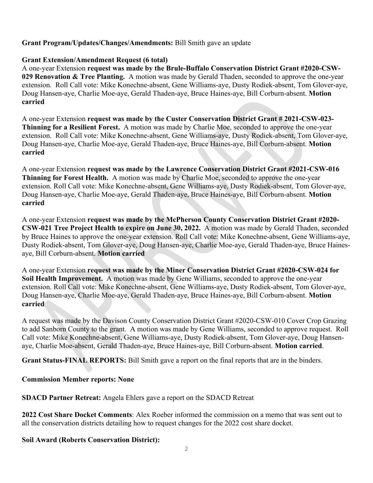## **Grant Program/Updates/Changes/Amendments:** Bill Smith gave an update

### **Grant Extension/Amendment Request (6 total)**

A one-year Extension **request was made by the Brule-Buffalo Conservation District Grant #2020-CSW-029 Renovation & Tree Planting.** A motion was made by Gerald Thaden, seconded to approve the one-year extension. Roll Call vote: Mike Konechne-absent, Gene Williams-aye, Dusty Rodiek-absent, Tom Glover-aye, Doug Hansen-aye, Charlie Moe-aye, Gerald Thaden-aye, Bruce Haines-aye, Bill Corburn-absent. **Motion carried** 

A one-year Extension **request was made by the Custer Conservation District Grant # 2021-CSW-023- Thinning for a Resilient Forest.** A motion was made by Charlie Moe, seconded to approve the one-year extension. Roll Call vote: Mike Konechne-absent, Gene Williams-aye, Dusty Rodiek-absent, Tom Glover-aye, Doug Hansen-aye, Charlie Moe-aye, Gerald Thaden-aye, Bruce Haines-aye, Bill Corburn-absent. **Motion carried**

A one-year Extension **request was made by the Lawrence Conservation District Grant #2021-CSW-016 Thinning for Forest Health.** A motion was made by Charlie Moe, seconded to approve the one-year extension. Roll Call vote: Mike Konechne-absent, Gene Williams-aye, Dusty Rodiek-absent, Tom Glover-aye, Doug Hansen-aye, Charlie Moe-aye, Gerald Thaden-aye, Bruce Haines-aye, Bill Corburn-absent. **Motion carried** 

A one-year Extension **request was made by the McPherson County Conservation District Grant #2020- CSW-021 Tree Project Health to expire on June 30, 2022.** A motion was made by Gerald Thaden, seconded by Bruce Haines to approve the one-year extension. Roll Call vote: Mike Konechne-absent, Gene Williams-aye, Dusty Rodiek-absent, Tom Glover-aye, Doug Hansen-aye, Charlie Moe-aye, Gerald Thaden-aye, Bruce Hainesaye, Bill Corburn-absent. **Motion carried**

A one-year Extension **request was made by the Miner Conservation District Grant #2020-CSW-024 for Soil Health Improvement.** A motion was made by Gene Williams, seconded to approve the one-year extension. Roll Call vote: Mike Konechne-absent, Gene Williams-aye, Dusty Rodiek-absent, Tom Glover-aye, Doug Hansen-aye, Charlie Moe-aye, Gerald Thaden-aye, Bruce Haines-aye, Bill Corburn-absent. **Motion carried**

A request was made by the Davison County Conservation District Grant #2020-CSW-010 Cover Crop Grazing to add Sanborn County to the grant. A motion was made by Gene Williams, seconded to approve request. Roll Call vote: Mike Konechne-absent, Gene Williams-aye, Dusty Rodiek-absent, Tom Glover-aye, Doug Hansenaye, Charlie Moe-absent, Gerald Thaden-aye, Bruce Haines-aye, Bill Corburn-absent. **Motion carried**.

**Grant Status-FINAL REPORTS:** Bill Smith gave a report on the final reports that are in the binders.

### **Commission Member reports: None**

**SDACD Partner Retreat:** Angela Ehlers gave a report on the SDACD Retreat

**2022 Cost Share Docket Comments**: Alex Roeber informed the commission on a memo that was sent out to all the conservation districts detailing how to request changes for the 2022 cost share docket.

### **Soil Award (Roberts Conservation District):**